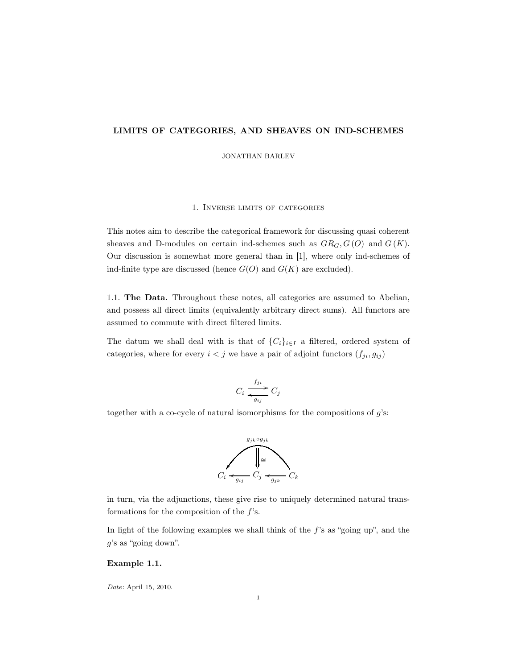# LIMITS OF CATEGORIES, AND SHEAVES ON IND-SCHEMES

JONATHAN BARLEV

### 1. Inverse limits of categories

This notes aim to describe the categorical framework for discussing quasi coherent sheaves and D-modules on certain ind-schemes such as  $GR_G$ ,  $G(O)$  and  $G(K)$ . Our discussion is somewhat more general than in [1], where only ind-schemes of ind-finite type are discussed (hence  $G(O)$  and  $G(K)$  are excluded).

1.1. The Data. Throughout these notes, all categories are assumed to Abelian, and possess all direct limits (equivalently arbitrary direct sums). All functors are assumed to commute with direct filtered limits.

The datum we shall deal with is that of  $\{C_i\}_{i\in I}$  a filtered, ordered system of categories, where for every  $i < j$  we have a pair of adjoint functors  $(f_{ji}, g_{ij})$ 

$$
C_i \xrightarrow[g_{ij}]{f_{ji}} C_j
$$

together with a co-cycle of natural isomorphisms for the compositions of  $g$ 's:



in turn, via the adjunctions, these give rise to uniquely determined natural transformations for the composition of the  $f$ 's.

In light of the following examples we shall think of the  $f$ 's as "going up", and the g's as "going down".

#### Example 1.1.

Date: April 15, 2010.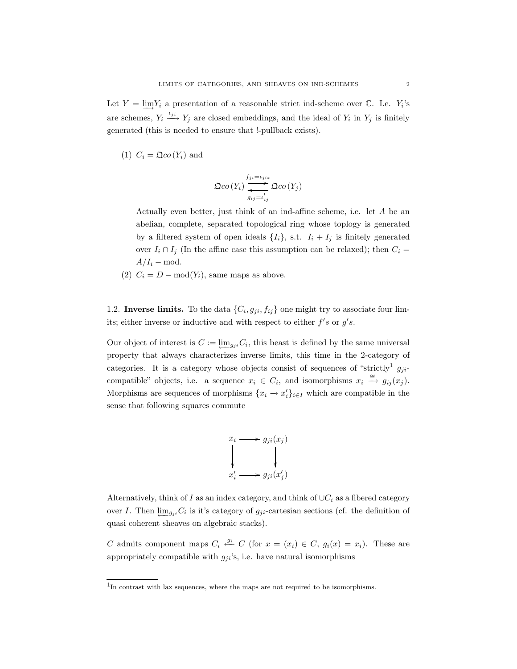Let  $Y = \lim Y_i$  a presentation of a reasonable strict ind-scheme over  $\mathbb{C}$ . I.e.  $Y_i$ 's are schemes,  $Y_i \stackrel{\iota_{ji}}{\longrightarrow} Y_j$  are closed embeddings, and the ideal of  $Y_i$  in  $Y_j$  is finitely generated (this is needed to ensure that !-pullback exists).

(1)  $C_i = \mathfrak{Q}co(Y_i)$  and

$$
\Omega co(Y_i) \overrightarrow{\sum_{g_{ij}=i_{ij}}^{f_{ji}=i_{ji}}}\Omega co(Y_j)
$$

Actually even better, just think of an ind-affine scheme, i.e. let A be an abelian, complete, separated topological ring whose toplogy is generated by a filtered system of open ideals  $\{I_i\}$ , s.t.  $I_i + I_j$  is finitely generated over  $I_i \cap I_j$  (In the affine case this assumption can be relaxed); then  $C_i$  =  $A/I_i$  – mod.

(2)  $C_i = D - \text{mod}(Y_i)$ , same maps as above.

1.2. Inverse limits. To the data  $\{C_i, g_{ji}, f_{ij}\}$  one might try to associate four limits; either inverse or inductive and with respect to either  $f's$  or  $g's$ .

Our object of interest is  $C := \underleftarrow{\lim_{g_{ji}}C_i}$ , this beast is defined by the same universal property that always characterizes inverse limits, this time in the 2-category of categories. It is a category whose objects consist of sequences of "strictly<sup>1</sup>  $q_{ii}$ compatible" objects, i.e. a sequence  $x_i \in C_i$ , and isomorphisms  $x_i \stackrel{\cong}{\to} g_{ij}(x_j)$ . Morphisms are sequences of morphisms  $\{x_i \to x'_i\}_{i \in I}$  which are compatible in the sense that following squares commute



Alternatively, think of I as an index category, and think of  $\cup C_i$  as a fibered category over I. Then  $\underline{\lim}_{g_{ji}} C_i$  is it's category of  $g_{ji}$ -cartesian sections (cf. the definition of quasi coherent sheaves on algebraic stacks).

C admits component maps  $C_i \stackrel{g_i}{\leftarrow} C$  (for  $x = (x_i) \in C$ ,  $g_i(x) = x_i$ ). These are appropriately compatible with  $g_{ji}$ 's, i.e. have natural isomorphisms

<sup>&</sup>lt;sup>1</sup>In contrast with lax sequences, where the maps are not required to be isomorphisms.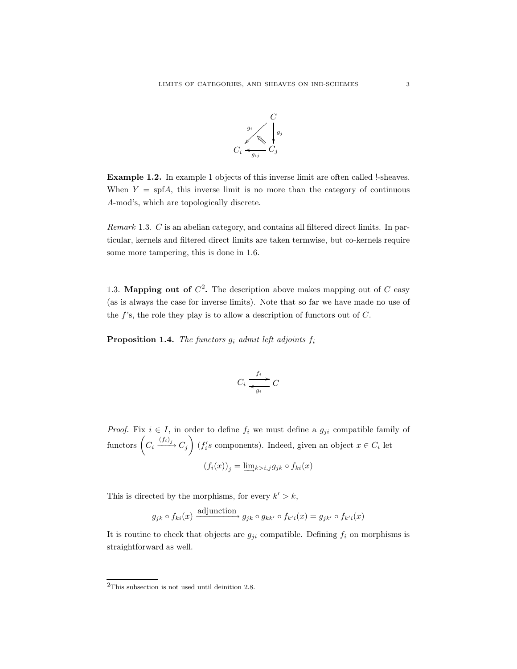

Example 1.2. In example 1 objects of this inverse limit are often called !-sheaves. When  $Y = \text{spf}A$ , this inverse limit is no more than the category of continuous A-mod's, which are topologically discrete.

Remark 1.3. C is an abelian category, and contains all filtered direct limits. In particular, kernels and filtered direct limits are taken termwise, but co-kernels require some more tampering, this is done in 1.6.

1.3. **Mapping out of**  $C^2$ . The description above makes mapping out of C easy (as is always the case for inverse limits). Note that so far we have made no use of the  $f$ 's, the role they play is to allow a description of functors out of  $C$ .

**Proposition 1.4.** The functors  $g_i$  admit left adjoints  $f_i$ 

$$
C_i \xrightarrow[g_i]{f_i} C
$$

*Proof.* Fix  $i \in I$ , in order to define  $f_i$  we must define a  $g_{ji}$  compatible family of functors  $(C_i \xrightarrow{(f_i)_j} C_j)$  ( $f_i$ 's components). Indeed, given an object  $x \in C_i$  let  $(f_i(x))_i = \lim_{k>i,j} g_{jk} \circ f_{ki}(x)$ 

This is directed by the morphisms, for every  $k' > k$ ,

$$
g_{jk} \circ f_{ki}(x) \longrightarrow g_{jk} \circ g_{kk'} \circ f_{k'i}(x) = g_{jk'} \circ f_{k'i}(x)
$$

It is routine to check that objects are  $g_{ji}$  compatible. Defining  $f_i$  on morphisms is straightforward as well.

 $^{2} \mathrm{This}$  subsection is not used until deinition 2.8.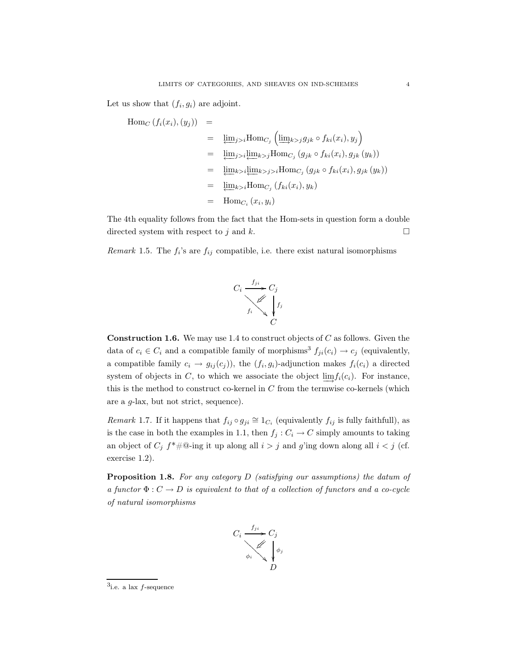Let us show that  $(f_i, g_i)$  are adjoint.

$$
\begin{aligned}\n\text{Hom}_C\left(f_i(x_i), (y_j)\right) &= \\
&= \underline{\lim}_{j>i} \text{Hom}_{C_j}\left(\underline{\lim}_{k>j} g_{jk} \circ f_{ki}(x_i), y_j\right) \\
&= \underline{\lim}_{j>i} \underline{\lim}_{k>j} \text{Hom}_{C_j}\left(g_{jk} \circ f_{ki}(x_i), g_{jk}(y_k)\right) \\
&= \underline{\lim}_{k>i} \underline{\lim}_{k>j>i} \text{Hom}_{C_j}\left(g_{jk} \circ f_{ki}(x_i), g_{jk}(y_k)\right) \\
&= \underline{\lim}_{k>j} \text{Hom}_{C_j}\left(f_{ki}(x_i), y_k\right) \\
&= \text{Hom}_{C_i}\left(x_i, y_i\right)\n\end{aligned}
$$

The 4th equality follows from the fact that the Hom-sets in question form a double directed system with respect to j and k.  $\Box$ 

Remark 1.5. The  $f_i$ 's are  $f_{ij}$  compatible, i.e. there exist natural isomorphisms



**Construction 1.6.** We may use 1.4 to construct objects of  $C$  as follows. Given the data of  $c_i \in C_i$  and a compatible family of morphisms<sup>3</sup>  $f_{ji}(c_i) \rightarrow c_j$  (equivalently, a compatible family  $c_i \rightarrow g_{ij}(c_j)$ , the  $(f_i, g_i)$ -adjunction makes  $f_i(c_i)$  a directed system of objects in C, to which we associate the object  $\lim f_i(c_i)$ . For instance, this is the method to construct co-kernel in  $C$  from the termwise co-kernels (which are a g-lax, but not strict, sequence).

Remark 1.7. If it happens that  $f_{ij} \circ g_{ji} \cong 1_{C_i}$  (equivalently  $f_{ij}$  is fully faithfull), as is the case in both the examples in 1.1, then  $f_j : C_i \to C$  simply amounts to taking an object of  $C_j$   $f^* \# \mathbb{Q}$ -ing it up along all  $i > j$  and g'ing down along all  $i < j$  (cf. exercise 1.2).

**Proposition 1.8.** For any category  $D$  (satisfying our assumptions) the datum of a functor  $\Phi: C \to D$  is equivalent to that of a collection of functors and a co-cycle of natural isomorphisms



 $3$ i.e. a lax  $f$ -sequence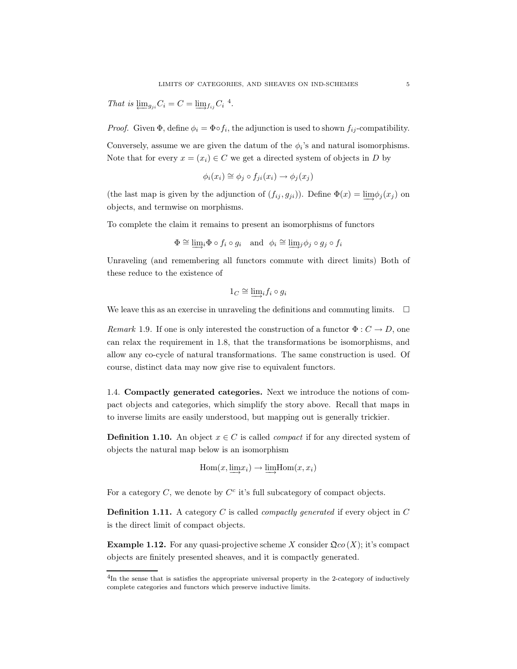That is  $\underline{\lim}_{g_{ji}} C_i = C = \underline{\lim}_{f_{ij}} C_i$ <sup>4</sup>.

*Proof.* Given  $\Phi$ , define  $\phi_i = \Phi \circ f_i$ , the adjunction is used to shown  $f_{ij}$ -compatibility.

Conversely, assume we are given the datum of the  $\phi_i$ 's and natural isomorphisms. Note that for every  $x = (x_i) \in C$  we get a directed system of objects in D by

$$
\phi_i(x_i) \cong \phi_j \circ f_{ji}(x_i) \to \phi_j(x_j)
$$

(the last map is given by the adjunction of  $(f_{ij}, g_{ji})$ ). Define  $\Phi(x) = \lim_{i \to j} \phi_i(x_j)$  on objects, and termwise on morphisms.

To complete the claim it remains to present an isomorphisms of functors

$$
\Phi \cong \underline{\lim}_{i} \Phi \circ f_{i} \circ g_{i} \quad \text{and} \quad \phi_{i} \cong \underline{\lim}_{i} \phi_{j} \circ g_{j} \circ f_{i}
$$

Unraveling (and remembering all functors commute with direct limits) Both of these reduce to the existence of

$$
1_C \cong \varinjlim_i f_i \circ g_i
$$

We leave this as an exercise in unraveling the definitions and commuting limits.  $\Box$ 

Remark 1.9. If one is only interested the construction of a functor  $\Phi: C \to D$ , one can relax the requirement in 1.8, that the transformations be isomorphisms, and allow any co-cycle of natural transformations. The same construction is used. Of course, distinct data may now give rise to equivalent functors.

1.4. Compactly generated categories. Next we introduce the notions of compact objects and categories, which simplify the story above. Recall that maps in to inverse limits are easily understood, but mapping out is generally trickier.

**Definition 1.10.** An object  $x \in C$  is called *compact* if for any directed system of objects the natural map below is an isomorphism

$$
\operatorname{Hom}(x, \varinjlim x_i) \to \varinjlim \operatorname{Hom}(x, x_i)
$$

For a category  $C$ , we denote by  $C<sup>c</sup>$  it's full subcategory of compact objects.

**Definition 1.11.** A category C is called *compactly generated* if every object in C is the direct limit of compact objects.

**Example 1.12.** For any quasi-projective scheme X consider  $\mathfrak{Q}_{\mathcal{CO}}(X)$ ; it's compact objects are finitely presented sheaves, and it is compactly generated.

<sup>&</sup>lt;sup>4</sup>In the sense that is satisfies the appropriate universal property in the 2-category of inductively complete categories and functors which preserve inductive limits.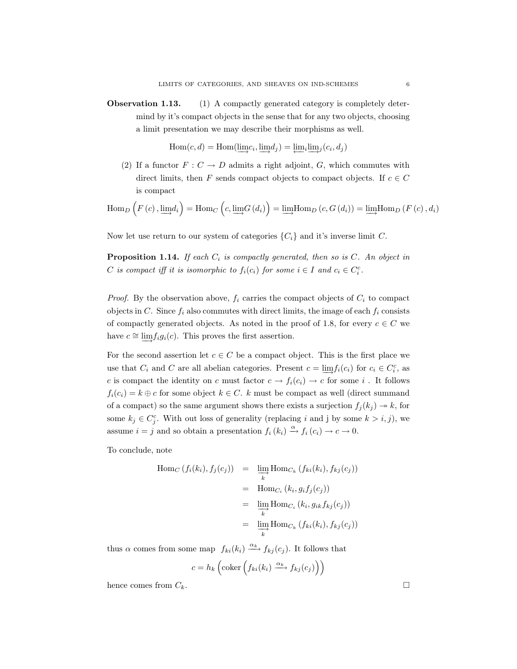Observation 1.13. (1) A compactly generated category is completely determind by it's compact objects in the sense that for any two objects, choosing a limit presentation we may describe their morphisms as well.

 $Hom(c, d) = Hom(\lim c_i, \lim d_i) = \lim_i \lim_i (c_i, d_i)$ 

(2) If a functor  $F: C \to D$  admits a right adjoint, G, which commutes with direct limits, then F sends compact objects to compact objects. If  $c \in C$ is compact

$$
\operatorname{Hom}_{D}\left(F\left(c\right), \underline{\lim}d_{i}\right) = \operatorname{Hom}_{C}\left(c, \underline{\lim}G\left(d_{i}\right)\right) = \underline{\lim} \operatorname{Hom}_{D}\left(c, G\left(d_{i}\right)\right) = \underline{\lim} \operatorname{Hom}_{D}\left(F\left(c\right), d_{i}\right)
$$

Now let use return to our system of categories  $\{C_i\}$  and it's inverse limit C.

**Proposition 1.14.** If each  $C_i$  is compactly generated, then so is  $C$ . An object in C is compact iff it is isomorphic to  $f_i(c_i)$  for some  $i \in I$  and  $c_i \in C_i^c$ .

*Proof.* By the observation above,  $f_i$  carries the compact objects of  $C_i$  to compact objects in C. Since  $f_i$  also commutes with direct limits, the image of each  $f_i$  consists of compactly generated objects. As noted in the proof of 1.8, for every  $c \in C$  we have  $c \approx \lim f_i g_i(c)$ . This proves the first assertion.

For the second assertion let  $c \in C$  be a compact object. This is the first place we use that  $C_i$  and C are all abelian categories. Present  $c = \underbrace{\lim} f_i(c_i)$  for  $c_i \in C_i^c$ , as c is compact the identity on c must factor  $c \to f_i(c_i) \to c$  for some i. It follows  $f_i(c_i) = k \oplus c$  for some object  $k \in C$ . k must be compact as well (direct summand of a compact) so the same argument shows there exists a surjection  $f_j(k_j) \rightarrow k$ , for some  $k_j \in C_j^c$ . With out loss of generality (replacing i and j by some  $k > i, j$ ), we assume  $i = j$  and so obtain a presentation  $f_i(k_i) \stackrel{\alpha}{\rightarrow} f_i(c_i) \rightarrow c \rightarrow 0$ .

To conclude, note

$$
\begin{aligned} \text{Hom}_C\left(f_i(k_i), f_j(c_j)\right) &= \lim_{\substack{k}} \text{Hom}_{C_k}\left(f_{ki}(k_i), f_{kj}(c_j)\right) \\ &= \text{Hom}_{C_i}\left(k_i, g_i f_j(c_j)\right) \\ &= \lim_{\substack{k}} \text{Hom}_{C_i}\left(k_i, g_{ik} f_{kj}(c_j)\right) \\ &= \lim_{\substack{k}} \text{Hom}_{C_k}\left(f_{ki}(k_i), f_{kj}(c_j)\right) \end{aligned}
$$

thus  $\alpha$  comes from some map  $f_{ki}(k_i) \xrightarrow{\alpha_k} f_{kj}(c_j)$ . It follows that

$$
c = h_k \left( \text{coker} \left( f_{ki}(k_i) \xrightarrow{\alpha_k} f_{kj}(c_j) \right) \right)
$$

hence comes from  $C_k$ .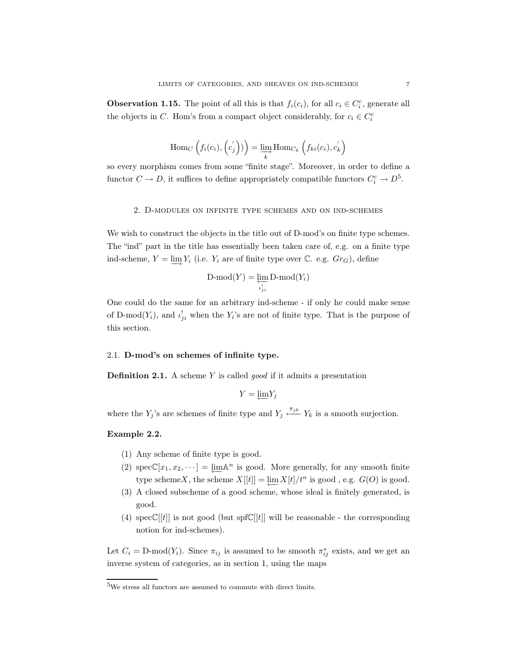**Observation 1.15.** The point of all this is that  $f_i(c_i)$ , for all  $c_i \in C_i^c$ , generate all the objects in C. Hom's from a compact object considerably, for  $c_i \in C_i^c$ 

$$
\operatorname{Hom}_{C}\left(f_i(c_i),\left(c_j^{'}\right)\right) = \varinjlim_{k} \operatorname{Hom}_{C_k}\left(f_{ki}(c_i),c_k^{'}\right)
$$

so every morphism comes from some "finite stage". Moreover, in order to define a functor  $C \to D$ , it suffices to define appropriately compatible functors  $C_i^c \to D^5$ .

## 2. D-modules on infinite type schemes and on ind-schemes

We wish to construct the objects in the title out of D-mod's on finite type schemes. The "ind" part in the title has essentially been taken care of, e.g. on a finite type ind-scheme,  $Y = \underline{\lim} Y_i$  (i.e.  $Y_i$  are of finite type over  $\mathbb{C}$ . e.g.  $Gr_G$ ), define

$$
\text{D-mod}(Y) = \varprojlim_{\iota'_{ji}} \text{D-mod}(Y_i)
$$

One could do the same for an arbitrary ind-scheme - if only he could make sense of D-mod $(Y_i)$ , and  $\iota_{ji}^!$  when the  $Y_i$ 's are not of finite type. That is the purpose of this section.

#### 2.1. D-mod's on schemes of infinite type.

**Definition 2.1.** A scheme Y is called *good* if it admits a presentation

$$
Y=\underleftarrow{\lim}Y_j
$$

where the  $Y_j$ 's are schemes of finite type and  $Y_j \xleftarrow{\pi_{jk}} Y_k$  is a smooth surjection.

## Example 2.2.

- (1) Any scheme of finite type is good.
- (2)  $\text{specC}[x_1, x_2, \dots] = \lim_{n \to \infty} \mathbb{R}^n$  is good. More generally, for any smooth finite type schemeX, the scheme  $X[[t]] = \lim_{h \to \infty} X[t]/t^n$  is good, e.g.  $G(O)$  is good.
- (3) A closed subscheme of a good scheme, whose ideal is finitely generated, is good.
- (4)  $specC[|t|]$  is not good (but spf $C[|t|]$  will be reasonable the corresponding notion for ind-schemes).

Let  $C_i = D\text{-mod}(Y_i)$ . Since  $\pi_{ij}$  is assumed to be smooth  $\pi_{ij}^*$  exists, and we get an inverse system of categories, as in section 1, using the maps

<sup>5</sup>We stress all functors are assumed to commute with direct limits.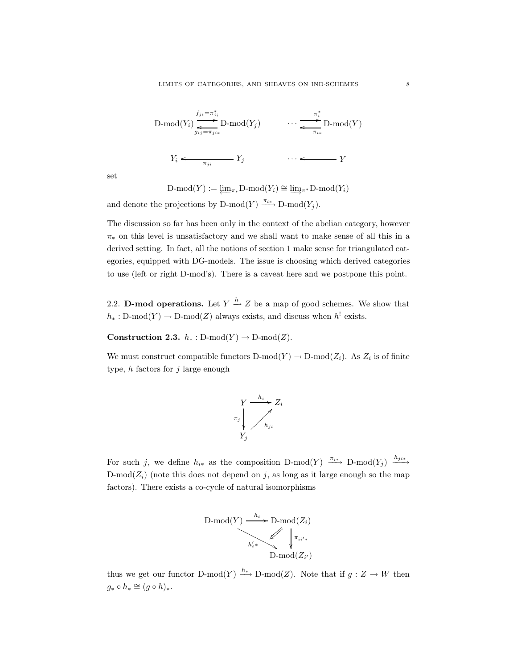$$
\text{D-mod}(Y_i) \underbrace{\sum_{g_{ij} = \pi_{ji}}^{f_{ji} = \pi_{ji}^*}}_{\pi_{ji}} \text{D-mod}(Y_j) \qquad \cdots \underbrace{\sum_{g_{ij} = \pi_{ji}}^{n_i^*}}_{\pi_{ik}} \text{D-mod}(Y)
$$
\n
$$
Y_i \leftarrow \underbrace{\pi_{ji}}_{\pi_{ji}} Y_j \qquad \cdots \leftarrow Y
$$

set

 $D\text{-mod}(Y) := \lim_{\pi_*} D\text{-mod}(Y_i) \cong \lim_{\pi^*} D\text{-mod}(Y_i)$ 

and denote the projections by D-mod $(Y) \xrightarrow{\pi_{i*}} D\text{-mod}(Y_i)$ .

The discussion so far has been only in the context of the abelian category, however  $\pi_*$  on this level is unsatisfactory and we shall want to make sense of all this in a derived setting. In fact, all the notions of section 1 make sense for triangulated categories, equipped with DG-models. The issue is choosing which derived categories to use (left or right D-mod's). There is a caveat here and we postpone this point.

2.2. **D-mod operations.** Let  $Y \xrightarrow{h} Z$  be a map of good schemes. We show that  $h_*: \text{D-mod}(Y) \to \text{D-mod}(Z)$  always exists, and discuss when  $h^!$  exists.

Construction 2.3.  $h_* : D\text{-mod}(Y) \to D\text{-mod}(Z)$ .

We must construct compatible functors  $D\text{-mod}(Y) \to D\text{-mod}(Z_i)$ . As  $Z_i$  is of finite type,  $h$  factors for  $j$  large enough



For such j, we define  $h_{i*}$  as the composition D-mod(Y)  $\xrightarrow{\pi_{i*}}$  D-mod(Y<sub>j</sub>)  $\xrightarrow{h_{j*}}$ D-mod( $Z_i$ ) (note this does not depend on j, as long as it large enough so the map factors). There exists a co-cycle of natural isomorphisms



thus we get our functor D-mod(Y)  $\xrightarrow{h*}$  D-mod(Z). Note that if  $g: Z \to W$  then  $g_* \circ h_* \cong (g \circ h)_*.$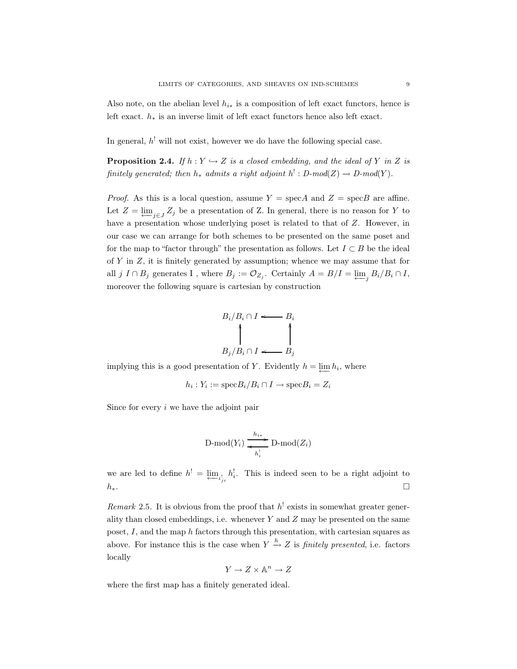Also note, on the abelian level  $h_{i*}$  is a composition of left exact functors, hence is left exact. h<sup>∗</sup> is an inverse limit of left exact functors hence also left exact.

In general,  $h^!$  will not exist, however we do have the following special case.

**Proposition 2.4.** If  $h: Y \hookrightarrow Z$  is a closed embedding, and the ideal of Y in Z is finitely generated; then  $h_*$  admits a right adjoint  $h': D\text{-mod}(Z) \to D\text{-mod}(Y)$ .

*Proof.* As this is a local question, assume  $Y = \text{spec}A$  and  $Z = \text{spec}B$  are affine. Let  $Z = \varprojlim_{i \in J} Z_i$  be a presentation of Z. In general, there is no reason for Y to have a presentation whose underlying poset is related to that of Z. However, in our case we can arrange for both schemes to be presented on the same poset and for the map to "factor through" the presentation as follows. Let  $I \subset B$  be the ideal of  $Y$  in  $Z$ , it is finitely generated by assumption; whence we may assume that for all j  $I \cap B_j$  generates I, where  $B_j := \mathcal{O}_{Z_j}$ . Certainly  $A = B/I = \varprojlim_j B_i/B_i \cap I$ , moreover the following square is cartesian by construction

$$
B_i/B_i \cap I \longleftarrow B_i
$$
\n
$$
B_j/B_i \cap I \longleftarrow B_j
$$

implying this is a good presentation of Y. Evidently  $h = \lim h_i$ , where

$$
h_i: Y_i := \text{spec} B_i / B_i \cap I \to \text{spec} B_i = Z_i
$$

Since for every  $i$  we have the adjoint pair

$$
\mathrm{D-mod}(Y_i) \xrightarrow[k_i]{h_{i*}} \mathrm{D-mod}(Z_i)
$$

we are led to define  $h' = \varprojlim_{\iota'_{ji}} h_i^{\iota}$ . This is indeed seen to be a right adjoint to  $h_*$ .

Remark 2.5. It is obvious from the proof that  $h^!$  exists in somewhat greater generality than closed embeddings, i.e. whenever  $Y$  and  $Z$  may be presented on the same poset, I, and the map h factors through this presentation, with cartesian squares as above. For instance this is the case when  $Y \xrightarrow{h} Z$  is *finitely presented*, i.e. factors locally

$$
Y\to Z\times{\mathbb A}^n\to Z
$$

where the first map has a finitely generated ideal.